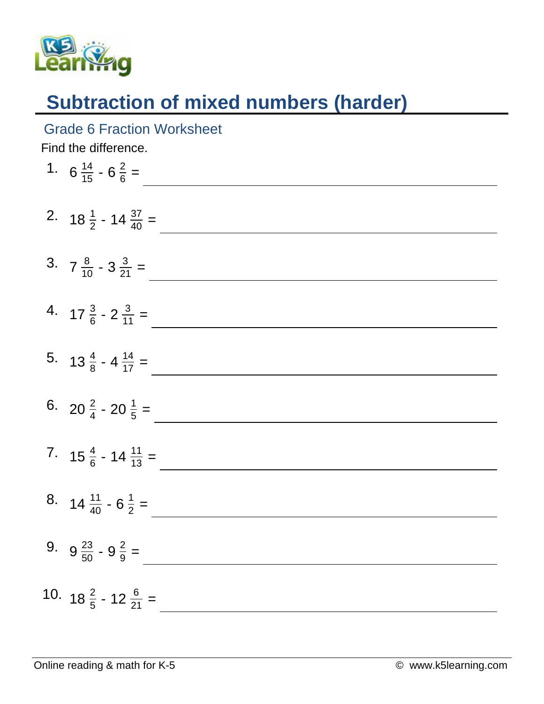

## **Subtraction of mixed numbers (harder)**

## Grade 6 Fraction Worksheet

Find the difference.

| 1. $6\frac{14}{15} - 6\frac{2}{6} =$      |
|-------------------------------------------|
| 2. $18\frac{1}{2}$ - $14\frac{37}{40}$ =  |
| 3. $7\frac{8}{10} - 3\frac{3}{21} =$      |
| 4. $17\frac{3}{6} - 2\frac{3}{11} =$      |
| 5. $13\frac{4}{8}$ - 4 $\frac{14}{17}$ =  |
| 6. 20 $\frac{2}{4}$ - 20 $\frac{1}{5}$ =  |
| 7. $15\frac{4}{6}$ - 14 $\frac{11}{13}$ = |
| 8. $14\frac{11}{40} - 6\frac{1}{2} =$     |
| 9. $9\frac{23}{50} - 9\frac{2}{9} =$      |
| 10. $18\frac{2}{5}$ - 12 $\frac{6}{21}$ = |